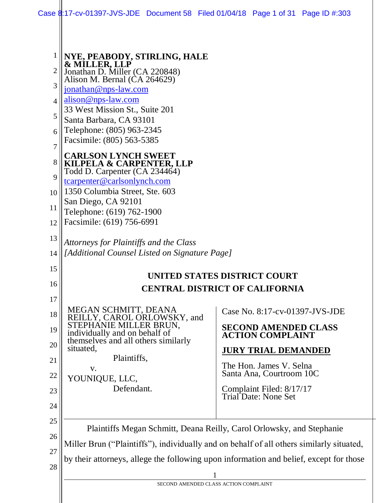|                                                           | Case \$:17-cv-01397-JVS-JDE Document 58 Filed 01/04/18 Page 1 of 31 Page ID #:303                                                                                                                                                                                                                                  |  |                                                                                                                        |  |
|-----------------------------------------------------------|--------------------------------------------------------------------------------------------------------------------------------------------------------------------------------------------------------------------------------------------------------------------------------------------------------------------|--|------------------------------------------------------------------------------------------------------------------------|--|
| 1<br>$\overline{2}$<br>3<br>$\overline{4}$<br>5<br>6<br>7 | NYE, PEABODY, STIRLING, HALE<br>& MILLER, LLP<br>Jonathan D. Miller (CA 220848)<br>Alison M. Bernal (CA 264629)<br>jonathan@nps-law.com<br>alison@nps-law.com<br>33 West Mission St., Suite 201<br>Santa Barbara, CA 93101<br>Telephone: (805) 963-2345<br>Facsimile: (805) 563-5385<br><b>CARLSON LYNCH SWEET</b> |  |                                                                                                                        |  |
| 8<br>9<br>10<br>11                                        | KILPELA & CARPENTER, LLP<br>Todd D. Carpenter (CA 234464)<br>tcarpenter@carlsonlynch.com<br>1350 Columbia Street, Ste. 603<br>San Diego, CA 92101<br>Telephone: (619) 762-1900                                                                                                                                     |  |                                                                                                                        |  |
| 12<br>13<br>14                                            | Facsimile: (619) 756-6991<br>Attorneys for Plaintiffs and the Class<br>[Additional Counsel Listed on Signature Page]                                                                                                                                                                                               |  |                                                                                                                        |  |
| 15<br>16<br>17                                            | UNITED STATES DISTRICT COURT<br><b>CENTRAL DISTRICT OF CALIFORNIA</b>                                                                                                                                                                                                                                              |  |                                                                                                                        |  |
| 18<br>19<br>20                                            | MEGAN SCHMITT, DEANA<br>REILLY, CAROL ORLOWSKY, and<br>STEPHANIE MILLER BRUN,<br>individually and on behalf of<br>themselves and all others similarly<br>situated,                                                                                                                                                 |  | Case No. 8:17-cv-01397-JVS-JDE<br><b>SECOND AMENDED CLASS</b><br><b>ACTION COMPLAINT</b><br><b>JURY TRIAL DEMANDED</b> |  |
| 21<br>22<br>23<br>24                                      | Plaintiffs,<br>V.<br>YOUNIQUE, LLC,<br>Defendant.                                                                                                                                                                                                                                                                  |  | The Hon. James V. Selna<br>Santa Ana, Courtroom 10C<br>Complaint Filed: 8/17/17<br>Trial Date: None Set                |  |
| 25<br>26<br>27                                            | Plaintiffs Megan Schmitt, Deana Reilly, Carol Orlowsky, and Stephanie<br>Miller Brun ("Plaintiffs"), individually and on behalf of all others similarly situated,                                                                                                                                                  |  |                                                                                                                        |  |

by their attorneys, allege the following upon information and belief, except for those

28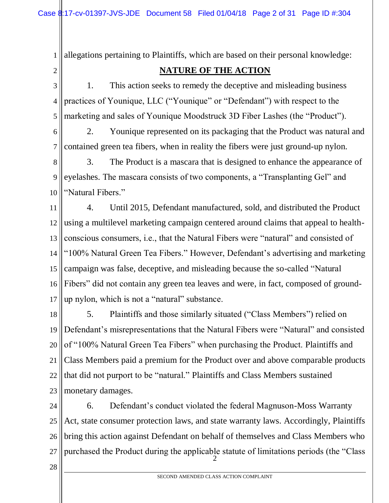allegations pertaining to Plaintiffs, which are based on their personal knowledge:

## 2

1

## **NATURE OF THE ACTION**

3 4 5 1. This action seeks to remedy the deceptive and misleading business practices of Younique, LLC ("Younique" or "Defendant") with respect to the marketing and sales of Younique Moodstruck 3D Fiber Lashes (the "Product").

6 7 2. Younique represented on its packaging that the Product was natural and contained green tea fibers, when in reality the fibers were just ground-up nylon.

8 9 10 3. The Product is a mascara that is designed to enhance the appearance of eyelashes. The mascara consists of two components, a "Transplanting Gel" and "Natural Fibers."

11 12 13 14 15 16 17 4. Until 2015, Defendant manufactured, sold, and distributed the Product using a multilevel marketing campaign centered around claims that appeal to healthconscious consumers, i.e., that the Natural Fibers were "natural" and consisted of "100% Natural Green Tea Fibers." However, Defendant's advertising and marketing campaign was false, deceptive, and misleading because the so-called "Natural Fibers" did not contain any green tea leaves and were, in fact, composed of groundup nylon, which is not a "natural" substance.

18 19 20 21 22 23 5. Plaintiffs and those similarly situated ("Class Members") relied on Defendant's misrepresentations that the Natural Fibers were "Natural" and consisted of "100% Natural Green Tea Fibers" when purchasing the Product. Plaintiffs and Class Members paid a premium for the Product over and above comparable products that did not purport to be "natural." Plaintiffs and Class Members sustained monetary damages.

2 24 25 26 27 6. Defendant's conduct violated the federal Magnuson-Moss Warranty Act, state consumer protection laws, and state warranty laws. Accordingly, Plaintiffs bring this action against Defendant on behalf of themselves and Class Members who purchased the Product during the applicable statute of limitations periods (the "Class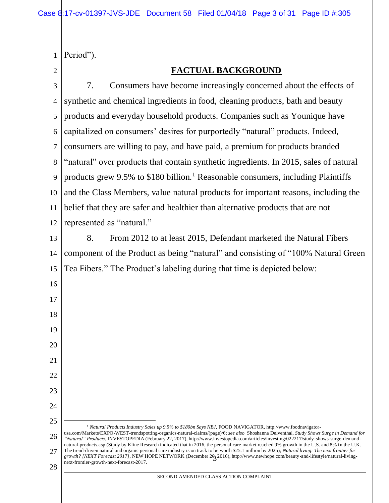|  | $\ $ Period"). |
|--|----------------|
|--|----------------|

# $\begin{matrix} 1 \\ 2 \end{matrix}$

# **FACTUAL BACKGROUND**

| 3              | 7.<br>Consumers have become increasingly concerned about the effects of                                                                                                                                                                                                                                                                                                                                                              |  |  |
|----------------|--------------------------------------------------------------------------------------------------------------------------------------------------------------------------------------------------------------------------------------------------------------------------------------------------------------------------------------------------------------------------------------------------------------------------------------|--|--|
| $\overline{4}$ | synthetic and chemical ingredients in food, cleaning products, bath and beauty                                                                                                                                                                                                                                                                                                                                                       |  |  |
| 5              | products and everyday household products. Companies such as Younique have                                                                                                                                                                                                                                                                                                                                                            |  |  |
| 6              | capitalized on consumers' desires for purportedly "natural" products. Indeed,                                                                                                                                                                                                                                                                                                                                                        |  |  |
| 7              | consumers are willing to pay, and have paid, a premium for products branded                                                                                                                                                                                                                                                                                                                                                          |  |  |
| 8              | "natural" over products that contain synthetic ingredients. In 2015, sales of natural                                                                                                                                                                                                                                                                                                                                                |  |  |
| 9              | products grew 9.5% to \$180 billion. <sup>1</sup> Reasonable consumers, including Plaintiffs                                                                                                                                                                                                                                                                                                                                         |  |  |
| 10             | and the Class Members, value natural products for important reasons, including the                                                                                                                                                                                                                                                                                                                                                   |  |  |
| 11             | belief that they are safer and healthier than alternative products that are not                                                                                                                                                                                                                                                                                                                                                      |  |  |
| 12             | represented as "natural."                                                                                                                                                                                                                                                                                                                                                                                                            |  |  |
| 13             | From 2012 to at least 2015, Defendant marketed the Natural Fibers<br>8.                                                                                                                                                                                                                                                                                                                                                              |  |  |
| 14             | component of the Product as being "natural" and consisting of "100% Natural Green                                                                                                                                                                                                                                                                                                                                                    |  |  |
| 15             | Tea Fibers." The Product's labeling during that time is depicted below:                                                                                                                                                                                                                                                                                                                                                              |  |  |
| 16             |                                                                                                                                                                                                                                                                                                                                                                                                                                      |  |  |
| 17             |                                                                                                                                                                                                                                                                                                                                                                                                                                      |  |  |
| 18             |                                                                                                                                                                                                                                                                                                                                                                                                                                      |  |  |
| 19             |                                                                                                                                                                                                                                                                                                                                                                                                                                      |  |  |
| 20             |                                                                                                                                                                                                                                                                                                                                                                                                                                      |  |  |
| 21             |                                                                                                                                                                                                                                                                                                                                                                                                                                      |  |  |
| 22             |                                                                                                                                                                                                                                                                                                                                                                                                                                      |  |  |
| 23             |                                                                                                                                                                                                                                                                                                                                                                                                                                      |  |  |
| 24             |                                                                                                                                                                                                                                                                                                                                                                                                                                      |  |  |
| 25             | <sup>1</sup> Natural Products Industry Sales up 9.5% to \$180bn Says NBJ, FOOD NAVIGATOR, http://www.foodnavigator-                                                                                                                                                                                                                                                                                                                  |  |  |
| 26             | usa.com/Markets/EXPO-WEST-trendspotting-organics-natural-claims/(page)/6; see also Shoshanna Delventhal, Study Shows Surge in Demand for<br>"Natural" Products, INVESTOPEDIA (February 22, 2017), http://www.investopedia.com/articles/investing/022217/study-shows-surge-demand-<br>natural-products.asp (Study by Kline Research indicated that in 2016, the personal care market reached 9% growth in the U.S. and 8% in the U.K. |  |  |
| 27             | The trend-driven natural and organic personal care industry is on track to be worth \$25.1 million by 2025); Natural living: The next frontier for<br>growth? [NEXT Forecast 2017], NEW HOPE NETWORK (December 203 2016), http://www.newhope.com/beauty-and-lifestyle/natural-living-                                                                                                                                                |  |  |
| 28             | next-frontier-growth-next-forecast-2017.<br>SECOND AMENDED CLASS ACTION COMPLAINT                                                                                                                                                                                                                                                                                                                                                    |  |  |
|                |                                                                                                                                                                                                                                                                                                                                                                                                                                      |  |  |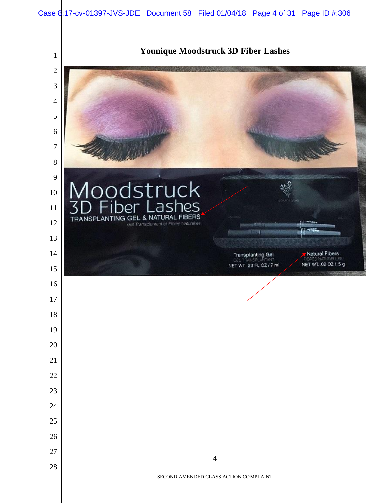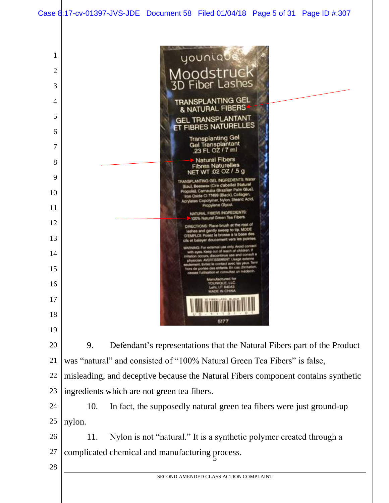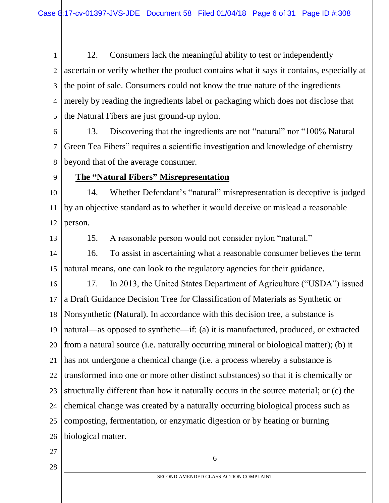1 2 3 4 5 12. Consumers lack the meaningful ability to test or independently ascertain or verify whether the product contains what it says it contains, especially at the point of sale. Consumers could not know the true nature of the ingredients merely by reading the ingredients label or packaging which does not disclose that the Natural Fibers are just ground-up nylon.

6 7 8 13. Discovering that the ingredients are not "natural" nor "100% Natural Green Tea Fibers" requires a scientific investigation and knowledge of chemistry beyond that of the average consumer.

#### 9

#### **The "Natural Fibers" Misrepresentation**

10 11 12 14. Whether Defendant's "natural" misrepresentation is deceptive is judged by an objective standard as to whether it would deceive or mislead a reasonable person.

13

15. A reasonable person would not consider nylon "natural."

14 15 16. To assist in ascertaining what a reasonable consumer believes the term natural means, one can look to the regulatory agencies for their guidance.

16 17 18 19 20 21 22 23 24 25 26 17. In 2013, the United States Department of Agriculture ("USDA") issued a Draft Guidance Decision Tree for Classification of Materials as Synthetic or Nonsynthetic (Natural). In accordance with this decision tree, a substance is natural—as opposed to synthetic—if: (a) it is manufactured, produced, or extracted from a natural source (i.e. naturally occurring mineral or biological matter); (b) it has not undergone a chemical change (i.e. a process whereby a substance is transformed into one or more other distinct substances) so that it is chemically or structurally different than how it naturally occurs in the source material; or (c) the chemical change was created by a naturally occurring biological process such as composting, fermentation, or enzymatic digestion or by heating or burning biological matter.

27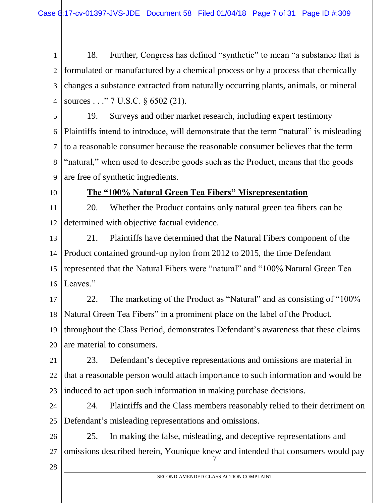1 2 3 4 18. Further, Congress has defined "synthetic" to mean "a substance that is formulated or manufactured by a chemical process or by a process that chemically changes a substance extracted from naturally occurring plants, animals, or mineral sources . . ." 7 U.S.C. § 6502 (21).

5 6 7 8 9 19. Surveys and other market research, including expert testimony Plaintiffs intend to introduce, will demonstrate that the term "natural" is misleading to a reasonable consumer because the reasonable consumer believes that the term "natural," when used to describe goods such as the Product, means that the goods are free of synthetic ingredients.

10

#### **The "100% Natural Green Tea Fibers" Misrepresentation**

11 12 20. Whether the Product contains only natural green tea fibers can be determined with objective factual evidence.

13 14 15 16 21. Plaintiffs have determined that the Natural Fibers component of the Product contained ground-up nylon from 2012 to 2015, the time Defendant represented that the Natural Fibers were "natural" and "100% Natural Green Tea Leaves."

17 18 19 20 22. The marketing of the Product as "Natural" and as consisting of "100% Natural Green Tea Fibers" in a prominent place on the label of the Product, throughout the Class Period, demonstrates Defendant's awareness that these claims are material to consumers.

21 22 23 23. Defendant's deceptive representations and omissions are material in that a reasonable person would attach importance to such information and would be induced to act upon such information in making purchase decisions.

24 25 24. Plaintiffs and the Class members reasonably relied to their detriment on Defendant's misleading representations and omissions.

7 26 27 25. In making the false, misleading, and deceptive representations and omissions described herein, Younique knew and intended that consumers would pay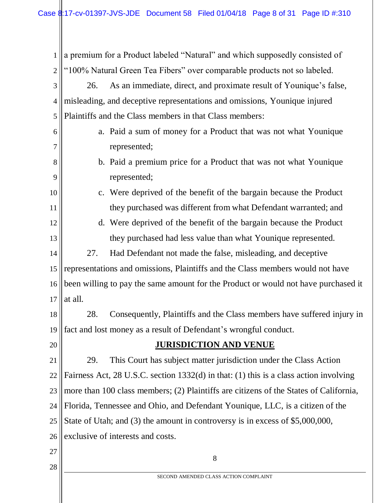1 2 3 4 5 6 7 8 9 10 11 12 13 14 15 16 17 18 19 a premium for a Product labeled "Natural" and which supposedly consisted of "100% Natural Green Tea Fibers" over comparable products not so labeled. 26. As an immediate, direct, and proximate result of Younique's false, misleading, and deceptive representations and omissions, Younique injured Plaintiffs and the Class members in that Class members: a. Paid a sum of money for a Product that was not what Younique represented; b. Paid a premium price for a Product that was not what Younique represented; c. Were deprived of the benefit of the bargain because the Product they purchased was different from what Defendant warranted; and d. Were deprived of the benefit of the bargain because the Product they purchased had less value than what Younique represented. 27. Had Defendant not made the false, misleading, and deceptive representations and omissions, Plaintiffs and the Class members would not have been willing to pay the same amount for the Product or would not have purchased it at all. 28. Consequently, Plaintiffs and the Class members have suffered injury in fact and lost money as a result of Defendant's wrongful conduct.

20

#### **JURISDICTION AND VENUE**

21 22 23 24 25 26 29. This Court has subject matter jurisdiction under the Class Action Fairness Act, 28 U.S.C. section 1332(d) in that: (1) this is a class action involving more than 100 class members; (2) Plaintiffs are citizens of the States of California, Florida, Tennessee and Ohio, and Defendant Younique, LLC, is a citizen of the State of Utah; and (3) the amount in controversy is in excess of \$5,000,000, exclusive of interests and costs.

27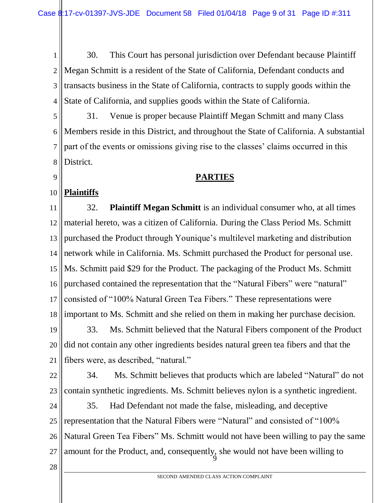1 2 3 4 30. This Court has personal jurisdiction over Defendant because Plaintiff Megan Schmitt is a resident of the State of California, Defendant conducts and transacts business in the State of California, contracts to supply goods within the State of California, and supplies goods within the State of California.

5 6 7 8 31. Venue is proper because Plaintiff Megan Schmitt and many Class Members reside in this District, and throughout the State of California. A substantial part of the events or omissions giving rise to the classes' claims occurred in this District.

#### **PARTIES**

#### 10 **Plaintiffs**

9

11 12 13 14 15 16 17 18 32. **Plaintiff Megan Schmitt** is an individual consumer who, at all times material hereto, was a citizen of California. During the Class Period Ms. Schmitt purchased the Product through Younique's multilevel marketing and distribution network while in California. Ms. Schmitt purchased the Product for personal use. Ms. Schmitt paid \$29 for the Product. The packaging of the Product Ms. Schmitt purchased contained the representation that the "Natural Fibers" were "natural" consisted of "100% Natural Green Tea Fibers." These representations were important to Ms. Schmitt and she relied on them in making her purchase decision.

19 20 21 33. Ms. Schmitt believed that the Natural Fibers component of the Product did not contain any other ingredients besides natural green tea fibers and that the fibers were, as described, "natural."

22 23 34. Ms. Schmitt believes that products which are labeled "Natural" do not contain synthetic ingredients. Ms. Schmitt believes nylon is a synthetic ingredient.

 $\mathfrak g$ 24 25 26 27 35. Had Defendant not made the false, misleading, and deceptive representation that the Natural Fibers were "Natural" and consisted of "100% Natural Green Tea Fibers" Ms. Schmitt would not have been willing to pay the same amount for the Product, and, consequently, she would not have been willing to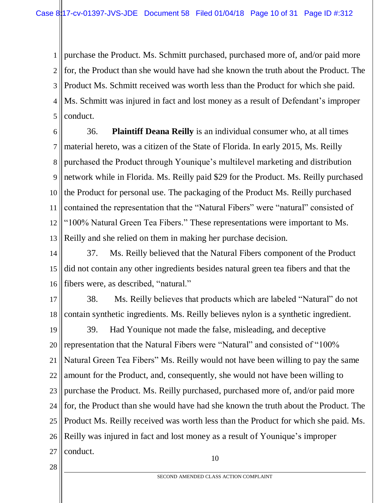1 2 3 4 5 purchase the Product. Ms. Schmitt purchased, purchased more of, and/or paid more for, the Product than she would have had she known the truth about the Product. The Product Ms. Schmitt received was worth less than the Product for which she paid. Ms. Schmitt was injured in fact and lost money as a result of Defendant's improper conduct.

6 7 8 9 10 11 12 13 36. **Plaintiff Deana Reilly** is an individual consumer who, at all times material hereto, was a citizen of the State of Florida. In early 2015, Ms. Reilly purchased the Product through Younique's multilevel marketing and distribution network while in Florida. Ms. Reilly paid \$29 for the Product. Ms. Reilly purchased the Product for personal use. The packaging of the Product Ms. Reilly purchased contained the representation that the "Natural Fibers" were "natural" consisted of "100% Natural Green Tea Fibers." These representations were important to Ms. Reilly and she relied on them in making her purchase decision.

14 15 16 37. Ms. Reilly believed that the Natural Fibers component of the Product did not contain any other ingredients besides natural green tea fibers and that the fibers were, as described, "natural."

17 18 38. Ms. Reilly believes that products which are labeled "Natural" do not contain synthetic ingredients. Ms. Reilly believes nylon is a synthetic ingredient.

19 20 21 22 23 24 25 26 27 39. Had Younique not made the false, misleading, and deceptive representation that the Natural Fibers were "Natural" and consisted of "100% Natural Green Tea Fibers" Ms. Reilly would not have been willing to pay the same amount for the Product, and, consequently, she would not have been willing to purchase the Product. Ms. Reilly purchased, purchased more of, and/or paid more for, the Product than she would have had she known the truth about the Product. The Product Ms. Reilly received was worth less than the Product for which she paid. Ms. Reilly was injured in fact and lost money as a result of Younique's improper conduct.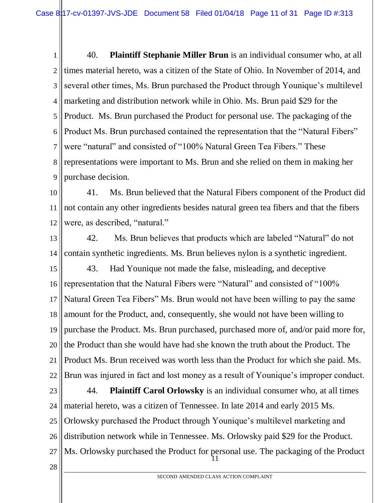1 2 3 4 5 6 7 8 9 40. **Plaintiff Stephanie Miller Brun** is an individual consumer who, at all times material hereto, was a citizen of the State of Ohio. In November of 2014, and several other times, Ms. Brun purchased the Product through Younique's multilevel marketing and distribution network while in Ohio. Ms. Brun paid \$29 for the Product. Ms. Brun purchased the Product for personal use. The packaging of the Product Ms. Brun purchased contained the representation that the "Natural Fibers" were "natural" and consisted of "100% Natural Green Tea Fibers." These representations were important to Ms. Brun and she relied on them in making her purchase decision.

10 11 12 41. Ms. Brun believed that the Natural Fibers component of the Product did not contain any other ingredients besides natural green tea fibers and that the fibers were, as described, "natural."

13 14 42. Ms. Brun believes that products which are labeled "Natural" do not contain synthetic ingredients. Ms. Brun believes nylon is a synthetic ingredient.

15 16 17 18 19 20 21 22 43. Had Younique not made the false, misleading, and deceptive representation that the Natural Fibers were "Natural" and consisted of "100% Natural Green Tea Fibers" Ms. Brun would not have been willing to pay the same amount for the Product, and, consequently, she would not have been willing to purchase the Product. Ms. Brun purchased, purchased more of, and/or paid more for, the Product than she would have had she known the truth about the Product. The Product Ms. Brun received was worth less than the Product for which she paid. Ms. Brun was injured in fact and lost money as a result of Younique's improper conduct.

11 23 24 25 26 27 44. **Plaintiff Carol Orlowsky** is an individual consumer who, at all times material hereto, was a citizen of Tennessee. In late 2014 and early 2015 Ms. Orlowsky purchased the Product through Younique's multilevel marketing and distribution network while in Tennessee. Ms. Orlowsky paid \$29 for the Product. Ms. Orlowsky purchased the Product for personal use. The packaging of the Product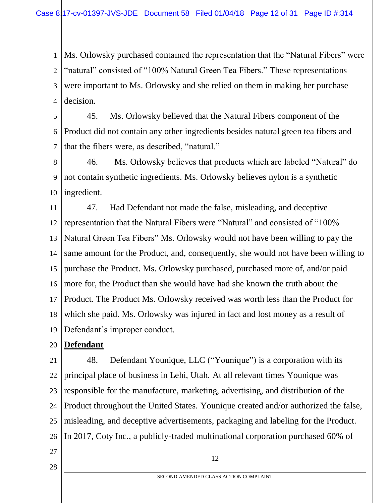1 2 3 4 Ms. Orlowsky purchased contained the representation that the "Natural Fibers" were "natural" consisted of "100% Natural Green Tea Fibers." These representations were important to Ms. Orlowsky and she relied on them in making her purchase decision.

5 6 7 45. Ms. Orlowsky believed that the Natural Fibers component of the Product did not contain any other ingredients besides natural green tea fibers and that the fibers were, as described, "natural."

8 9 10 46. Ms. Orlowsky believes that products which are labeled "Natural" do not contain synthetic ingredients. Ms. Orlowsky believes nylon is a synthetic ingredient.

11 12 13 14 15 16 17 18 19 47. Had Defendant not made the false, misleading, and deceptive representation that the Natural Fibers were "Natural" and consisted of "100% Natural Green Tea Fibers" Ms. Orlowsky would not have been willing to pay the same amount for the Product, and, consequently, she would not have been willing to purchase the Product. Ms. Orlowsky purchased, purchased more of, and/or paid more for, the Product than she would have had she known the truth about the Product. The Product Ms. Orlowsky received was worth less than the Product for which she paid. Ms. Orlowsky was injured in fact and lost money as a result of Defendant's improper conduct.

#### 20 **Defendant**

21 22 23 24 25 26 48. Defendant Younique, LLC ("Younique") is a corporation with its principal place of business in Lehi, Utah. At all relevant times Younique was responsible for the manufacture, marketing, advertising, and distribution of the Product throughout the United States. Younique created and/or authorized the false, misleading, and deceptive advertisements, packaging and labeling for the Product. In 2017, Coty Inc., a publicly-traded multinational corporation purchased 60% of

27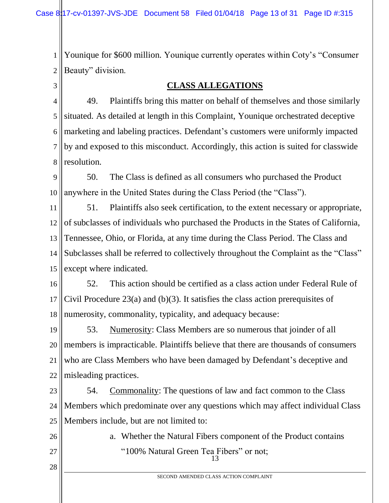1 2 Younique for \$600 million. Younique currently operates within Coty's "Consumer Beauty" division.

3

#### **CLASS ALLEGATIONS**

4 5 6 7 8 49. Plaintiffs bring this matter on behalf of themselves and those similarly situated. As detailed at length in this Complaint, Younique orchestrated deceptive marketing and labeling practices. Defendant's customers were uniformly impacted by and exposed to this misconduct. Accordingly, this action is suited for classwide resolution.

9 10 50. The Class is defined as all consumers who purchased the Product anywhere in the United States during the Class Period (the "Class").

11 12 13 14 15 51. Plaintiffs also seek certification, to the extent necessary or appropriate, of subclasses of individuals who purchased the Products in the States of California, Tennessee, Ohio, or Florida, at any time during the Class Period. The Class and Subclasses shall be referred to collectively throughout the Complaint as the "Class" except where indicated.

16 17 18 52. This action should be certified as a class action under Federal Rule of Civil Procedure 23(a) and (b)(3). It satisfies the class action prerequisites of numerosity, commonality, typicality, and adequacy because:

19 20 21 22 53. Numerosity: Class Members are so numerous that joinder of all members is impracticable. Plaintiffs believe that there are thousands of consumers who are Class Members who have been damaged by Defendant's deceptive and misleading practices.

23 24 25 54. Commonality: The questions of law and fact common to the Class Members which predominate over any questions which may affect individual Class Members include, but are not limited to:

26 27

28

13 a. Whether the Natural Fibers component of the Product contains "100% Natural Green Tea Fibers" or not;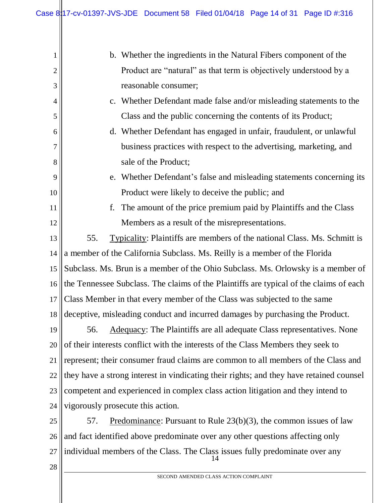| 1              | b. Whether the ingredients in the Natural Fibers component of the                       |  |  |
|----------------|-----------------------------------------------------------------------------------------|--|--|
| $\overline{2}$ | Product are "natural" as that term is objectively understood by a                       |  |  |
| 3              | reasonable consumer;                                                                    |  |  |
| $\overline{4}$ | c. Whether Defendant made false and/or misleading statements to the                     |  |  |
| 5              | Class and the public concerning the contents of its Product;                            |  |  |
| 6              | d. Whether Defendant has engaged in unfair, fraudulent, or unlawful                     |  |  |
| 7              | business practices with respect to the advertising, marketing, and                      |  |  |
| 8              | sale of the Product;                                                                    |  |  |
| 9              | e. Whether Defendant's false and misleading statements concerning its                   |  |  |
| 10             | Product were likely to deceive the public; and                                          |  |  |
| 11             | f.<br>The amount of the price premium paid by Plaintiffs and the Class                  |  |  |
| 12             | Members as a result of the misrepresentations.                                          |  |  |
| 13             | 55.<br><b>Typicality:</b> Plaintiffs are members of the national Class. Ms. Schmitt is  |  |  |
| 14             | a member of the California Subclass. Ms. Reilly is a member of the Florida              |  |  |
| 15             | Subclass. Ms. Brun is a member of the Ohio Subclass. Ms. Orlowsky is a member of        |  |  |
| 16             | the Tennessee Subclass. The claims of the Plaintiffs are typical of the claims of each  |  |  |
| 17             | Class Member in that every member of the Class was subjected to the same                |  |  |
| 18             | deceptive, misleading conduct and incurred damages by purchasing the Product.           |  |  |
| 19             | <b>Adequacy:</b> The Plaintiffs are all adequate Class representatives. None<br>56.     |  |  |
| 20             | of their interests conflict with the interests of the Class Members they seek to        |  |  |
| 21             | represent; their consumer fraud claims are common to all members of the Class and       |  |  |
| 22             | they have a strong interest in vindicating their rights; and they have retained counsel |  |  |
| 23             | competent and experienced in complex class action litigation and they intend to         |  |  |
| 24             | vigorously prosecute this action.                                                       |  |  |
| 25             | Predominance: Pursuant to Rule $23(b)(3)$ , the common issues of law<br>57.             |  |  |
| 26             | and fact identified above predominate over any other questions affecting only           |  |  |
| 27             | individual members of the Class. The Class issues fully predominate over any            |  |  |

28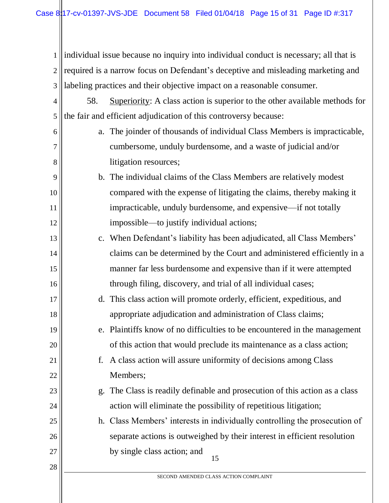1 2 3 individual issue because no inquiry into individual conduct is necessary; all that is required is a narrow focus on Defendant's deceptive and misleading marketing and labeling practices and their objective impact on a reasonable consumer.

4 5 58. Superiority: A class action is superior to the other available methods for the fair and efficient adjudication of this controversy because:

6

7

8

9

10

11

12

17

18

19

20

21

22

23

24

25

26

27

28

- a. The joinder of thousands of individual Class Members is impracticable, cumbersome, unduly burdensome, and a waste of judicial and/or litigation resources;
- b. The individual claims of the Class Members are relatively modest compared with the expense of litigating the claims, thereby making it impracticable, unduly burdensome, and expensive—if not totally impossible—to justify individual actions;
- 13 14 15 16 c. When Defendant's liability has been adjudicated, all Class Members' claims can be determined by the Court and administered efficiently in a manner far less burdensome and expensive than if it were attempted through filing, discovery, and trial of all individual cases;
	- d. This class action will promote orderly, efficient, expeditious, and appropriate adjudication and administration of Class claims;

# e. Plaintiffs know of no difficulties to be encountered in the management of this action that would preclude its maintenance as a class action;

- f. A class action will assure uniformity of decisions among Class Members;
	- g. The Class is readily definable and prosecution of this action as a class action will eliminate the possibility of repetitious litigation;
- 15 h. Class Members' interests in individually controlling the prosecution of separate actions is outweighed by their interest in efficient resolution by single class action; and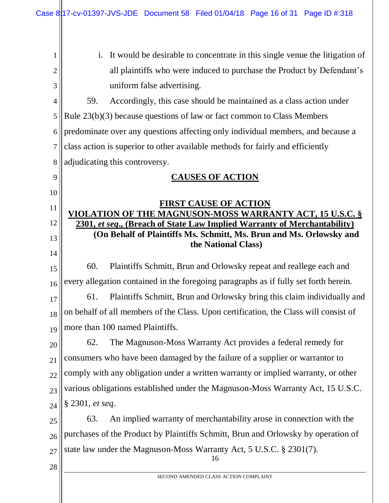Case 8:17-cv-01397-JVS-JDE Document 58 Filed 01/04/18 Page 16 of 31 Page ID #:318

16 SECOND AMENDED CLASS ACTION COMPLAINT 1 2 3 4 5 6 7 8 9 10 11 12 13 14 15 16 17 18 19 20 21 22 23 24 25 26 27 28 i. It would be desirable to concentrate in this single venue the litigation of all plaintiffs who were induced to purchase the Product by Defendant's uniform false advertising. 59. Accordingly, this case should be maintained as a class action under Rule 23(b)(3) because questions of law or fact common to Class Members predominate over any questions affecting only individual members, and because a class action is superior to other available methods for fairly and efficiently adjudicating this controversy. **CAUSES OF ACTION FIRST CAUSE OF ACTION VIOLATION OF THE MAGNUSON-MOSS WARRANTY ACT, 15 U.S.C. § 2301,** *et seq***., (Breach of State Law Implied Warranty of Merchantability) (On Behalf of Plaintiffs Ms. Schmitt, Ms. Brun and Ms. Orlowsky and the National Class)** 60. Plaintiffs Schmitt, Brun and Orlowsky repeat and reallege each and every allegation contained in the foregoing paragraphs as if fully set forth herein. 61. Plaintiffs Schmitt, Brun and Orlowsky bring this claim individually and on behalf of all members of the Class. Upon certification, the Class will consist of more than 100 named Plaintiffs. 62. The Magnuson-Moss Warranty Act provides a federal remedy for consumers who have been damaged by the failure of a supplier or warrantor to comply with any obligation under a written warranty or implied warranty, or other various obligations established under the Magnuson-Moss Warranty Act, 15 U.S.C. § 2301, *et seq*. 63. An implied warranty of merchantability arose in connection with the purchases of the Product by Plaintiffs Schmitt, Brun and Orlowsky by operation of state law under the Magnuson-Moss Warranty Act, 5 U.S.C. § 2301(7).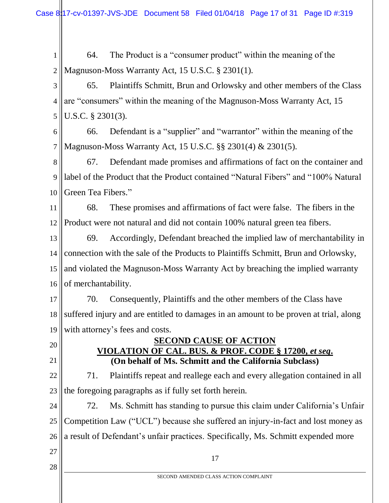1 2 64. The Product is a "consumer product" within the meaning of the Magnuson-Moss Warranty Act, 15 U.S.C. § 2301(1).

3 4 5 65. Plaintiffs Schmitt, Brun and Orlowsky and other members of the Class are "consumers" within the meaning of the Magnuson-Moss Warranty Act, 15 U.S.C. § 2301(3).

6 7 66. Defendant is a "supplier" and "warrantor" within the meaning of the Magnuson-Moss Warranty Act, 15 U.S.C. §§ 2301(4) & 2301(5).

8 9 10 67. Defendant made promises and affirmations of fact on the container and label of the Product that the Product contained "Natural Fibers" and "100% Natural Green Tea Fibers."

11 12 68. These promises and affirmations of fact were false. The fibers in the Product were not natural and did not contain 100% natural green tea fibers.

13 14 15 16 69. Accordingly, Defendant breached the implied law of merchantability in connection with the sale of the Products to Plaintiffs Schmitt, Brun and Orlowsky, and violated the Magnuson-Moss Warranty Act by breaching the implied warranty of merchantability.

17 18 19 70. Consequently, Plaintiffs and the other members of the Class have suffered injury and are entitled to damages in an amount to be proven at trial, along with attorney's fees and costs.

20

21

#### **SECOND CAUSE OF ACTION VIOLATION OF CAL. BUS. & PROF. CODE § 17200,** *et seq***. (On behalf of Ms. Schmitt and the California Subclass)**

22 23 71. Plaintiffs repeat and reallege each and every allegation contained in all the foregoing paragraphs as if fully set forth herein.

24 25 26 72. Ms. Schmitt has standing to pursue this claim under California's Unfair Competition Law ("UCL") because she suffered an injury-in-fact and lost money as a result of Defendant's unfair practices. Specifically, Ms. Schmitt expended more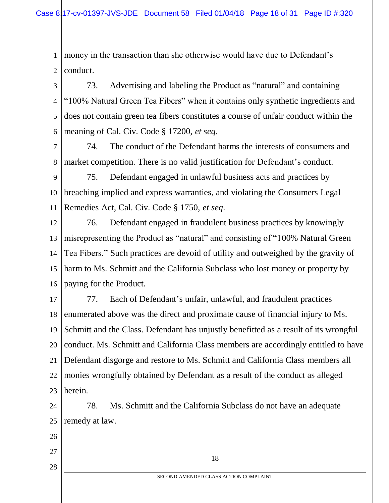1 2 money in the transaction than she otherwise would have due to Defendant's conduct.

3 4 5 6 73. Advertising and labeling the Product as "natural" and containing "100% Natural Green Tea Fibers" when it contains only synthetic ingredients and does not contain green tea fibers constitutes a course of unfair conduct within the meaning of Cal. Civ. Code § 17200, *et seq*.

7 8 74. The conduct of the Defendant harms the interests of consumers and market competition. There is no valid justification for Defendant's conduct.

9 10 11 75. Defendant engaged in unlawful business acts and practices by breaching implied and express warranties, and violating the Consumers Legal Remedies Act, Cal. Civ. Code § 1750, *et seq*.

12 13 14 15 16 76. Defendant engaged in fraudulent business practices by knowingly misrepresenting the Product as "natural" and consisting of "100% Natural Green Tea Fibers." Such practices are devoid of utility and outweighed by the gravity of harm to Ms. Schmitt and the California Subclass who lost money or property by paying for the Product.

17 18 19 20 21 22 23 77. Each of Defendant's unfair, unlawful, and fraudulent practices enumerated above was the direct and proximate cause of financial injury to Ms. Schmitt and the Class. Defendant has unjustly benefitted as a result of its wrongful conduct. Ms. Schmitt and California Class members are accordingly entitled to have Defendant disgorge and restore to Ms. Schmitt and California Class members all monies wrongfully obtained by Defendant as a result of the conduct as alleged herein.

24 25 78. Ms. Schmitt and the California Subclass do not have an adequate remedy at law.

- 26
- 27
- 28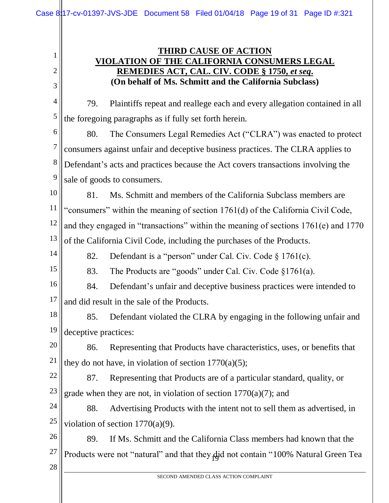### **THIRD CAUSE OF ACTION VIOLATION OF THE CALIFORNIA CONSUMERS LEGAL REMEDIES ACT, CAL. CIV. CODE § 1750,** *et seq***. (On behalf of Ms. Schmitt and the California Subclass)**

4 5 79. Plaintiffs repeat and reallege each and every allegation contained in all the foregoing paragraphs as if fully set forth herein.

6 7 8 9 80. The Consumers Legal Remedies Act ("CLRA") was enacted to protect consumers against unfair and deceptive business practices. The CLRA applies to Defendant's acts and practices because the Act covers transactions involving the sale of goods to consumers.

10 11 12 13 81. Ms. Schmitt and members of the California Subclass members are "consumers" within the meaning of section 1761(d) of the California Civil Code, and they engaged in "transactions" within the meaning of sections 1761(e) and 1770 of the California Civil Code, including the purchases of the Products.

- 82. Defendant is a "person" under Cal. Civ. Code § 1761(c).
- 15

14

1

2

3

83. The Products are "goods" under Cal. Civ. Code §1761(a).

16 17 84. Defendant's unfair and deceptive business practices were intended to and did result in the sale of the Products.

18 19 85. Defendant violated the CLRA by engaging in the following unfair and deceptive practices:

20 21 86. Representing that Products have characteristics, uses, or benefits that they do not have, in violation of section  $1770(a)(5)$ ;

22 23 87. Representing that Products are of a particular standard, quality, or grade when they are not, in violation of section 1770(a)(7); and

24 25 88. Advertising Products with the intent not to sell them as advertised, in violation of section 1770(a)(9).

Products were not "natural" and that they did not contain "100% Natural Green Tea 26 27 89. If Ms. Schmitt and the California Class members had known that the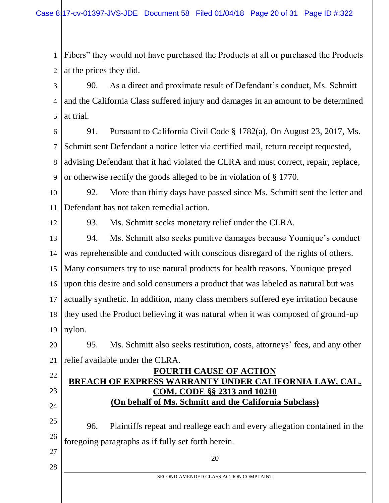1 2 Fibers" they would not have purchased the Products at all or purchased the Products at the prices they did.

3 4 5 90. As a direct and proximate result of Defendant's conduct, Ms. Schmitt and the California Class suffered injury and damages in an amount to be determined at trial.

6 7 8 9 91. Pursuant to California Civil Code § 1782(a), On August 23, 2017, Ms. Schmitt sent Defendant a notice letter via certified mail, return receipt requested, advising Defendant that it had violated the CLRA and must correct, repair, replace, or otherwise rectify the goods alleged to be in violation of § 1770.

10 11 92. More than thirty days have passed since Ms. Schmitt sent the letter and Defendant has not taken remedial action.

12

22

23

24

27

28

93. Ms. Schmitt seeks monetary relief under the CLRA.

13 14 15 16 17 18 19 94. Ms. Schmitt also seeks punitive damages because Younique's conduct was reprehensible and conducted with conscious disregard of the rights of others. Many consumers try to use natural products for health reasons. Younique preyed upon this desire and sold consumers a product that was labeled as natural but was actually synthetic. In addition, many class members suffered eye irritation because they used the Product believing it was natural when it was composed of ground-up nylon.

20 21 95. Ms. Schmitt also seeks restitution, costs, attorneys' fees, and any other relief available under the CLRA.

#### **FOURTH CAUSE OF ACTION BREACH OF EXPRESS WARRANTY UNDER CALIFORNIA LAW, CAL. COM. CODE §§ 2313 and 10210 (On behalf of Ms. Schmitt and the California Subclass)**

25 26 96. Plaintiffs repeat and reallege each and every allegation contained in the foregoing paragraphs as if fully set forth herein.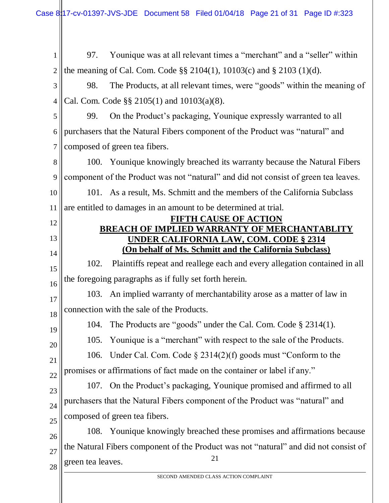21 SECOND AMENDED CLASS ACTION COMPLAINT 1 2 3 4 5 6 7 8 9 10 11 12 13 14 15 16 17 18 19 20 21 22 23 24 25 26 27 28 97. Younique was at all relevant times a "merchant" and a "seller" within the meaning of Cal. Com. Code §§ 2104(1), 10103(c) and § 2103 (1)(d). 98. The Products, at all relevant times, were "goods" within the meaning of Cal. Com. Code §§ 2105(1) and 10103(a)(8). 99. On the Product's packaging, Younique expressly warranted to all purchasers that the Natural Fibers component of the Product was "natural" and composed of green tea fibers. 100. Younique knowingly breached its warranty because the Natural Fibers component of the Product was not "natural" and did not consist of green tea leaves. 101. As a result, Ms. Schmitt and the members of the California Subclass are entitled to damages in an amount to be determined at trial. **FIFTH CAUSE OF ACTION BREACH OF IMPLIED WARRANTY OF MERCHANTABLITY UNDER CALIFORNIA LAW, COM. CODE § 2314 (On behalf of Ms. Schmitt and the California Subclass)** 102. Plaintiffs repeat and reallege each and every allegation contained in all the foregoing paragraphs as if fully set forth herein. 103. An implied warranty of merchantability arose as a matter of law in connection with the sale of the Products. 104. The Products are "goods" under the Cal. Com. Code § 2314(1). 105. Younique is a "merchant" with respect to the sale of the Products. 106. Under Cal. Com. Code § 2314(2)(f) goods must "Conform to the promises or affirmations of fact made on the container or label if any." 107. On the Product's packaging, Younique promised and affirmed to all purchasers that the Natural Fibers component of the Product was "natural" and composed of green tea fibers. 108. Younique knowingly breached these promises and affirmations because the Natural Fibers component of the Product was not "natural" and did not consist of green tea leaves.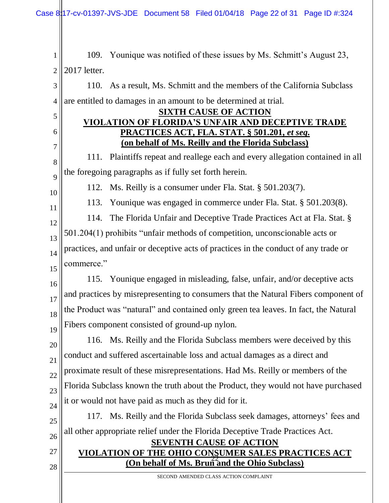1 2 109. Younique was notified of these issues by Ms. Schmitt's August 23, 2017 letter.

3 4 110. As a result, Ms. Schmitt and the members of the California Subclass are entitled to damages in an amount to be determined at trial.

#### **SIXTH CAUSE OF ACTION VIOLATION OF FLORIDA'S UNFAIR AND DECEPTIVE TRADE PRACTICES ACT, FLA. STAT. § 501.201,** *et seq***. (on behalf of Ms. Reilly and the Florida Subclass)**

8 9 111. Plaintiffs repeat and reallege each and every allegation contained in all the foregoing paragraphs as if fully set forth herein.

10

11

27

28

5

6

7

112. Ms. Reilly is a consumer under Fla. Stat. § 501.203(7).

113. Younique was engaged in commerce under Fla. Stat. § 501.203(8).

12 13 14 15 114. The Florida Unfair and Deceptive Trade Practices Act at Fla. Stat. § 501.204(1) prohibits "unfair methods of competition, unconscionable acts or practices, and unfair or deceptive acts of practices in the conduct of any trade or commerce."

16 17 18 19 115. Younique engaged in misleading, false, unfair, and/or deceptive acts and practices by misrepresenting to consumers that the Natural Fibers component of the Product was "natural" and contained only green tea leaves. In fact, the Natural Fibers component consisted of ground-up nylon.

20 21 22 23 24 116. Ms. Reilly and the Florida Subclass members were deceived by this conduct and suffered ascertainable loss and actual damages as a direct and proximate result of these misrepresentations. Had Ms. Reilly or members of the Florida Subclass known the truth about the Product, they would not have purchased it or would not have paid as much as they did for it.

25 26 117. Ms. Reilly and the Florida Subclass seek damages, attorneys' fees and all other appropriate relief under the Florida Deceptive Trade Practices Act.

### 22 **(On behalf of Ms. Brun and the Ohio Subclass) SEVENTH CAUSE OF ACTION VIOLATION OF THE OHIO CONSUMER SALES PRACTICES ACT**

SECOND AMENDED CLASS ACTION COMPLAINT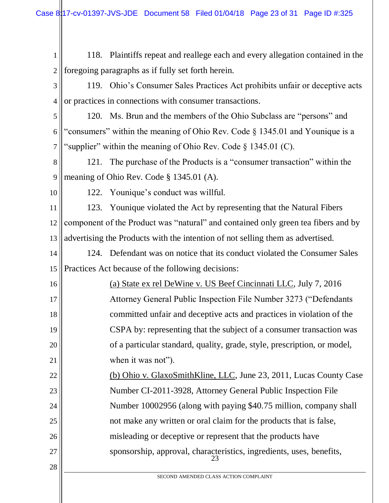| $\mathbf{1}$   | 118. Plaintiffs repeat and reallege each and every allegation contained in the    |  |  |
|----------------|-----------------------------------------------------------------------------------|--|--|
| $\mathbf{2}$   | foregoing paragraphs as if fully set forth herein.                                |  |  |
| 3              | 119. Ohio's Consumer Sales Practices Act prohibits unfair or deceptive acts       |  |  |
| $\overline{4}$ | or practices in connections with consumer transactions.                           |  |  |
| 5              | 120. Ms. Brun and the members of the Ohio Subclass are "persons" and              |  |  |
| 6              | "consumers" within the meaning of Ohio Rev. Code § 1345.01 and Younique is a      |  |  |
| 7              | "supplier" within the meaning of Ohio Rev. Code $\S 1345.01$ (C).                 |  |  |
| 8              | 121. The purchase of the Products is a "consumer transaction" within the          |  |  |
| 9              | meaning of Ohio Rev. Code § 1345.01 (A).                                          |  |  |
| 10             | 122. Younique's conduct was willful.                                              |  |  |
| 11             | 123. Younique violated the Act by representing that the Natural Fibers            |  |  |
| 12             | component of the Product was "natural" and contained only green tea fibers and by |  |  |
| 13             | advertising the Products with the intention of not selling them as advertised.    |  |  |
| 14             | 124. Defendant was on notice that its conduct violated the Consumer Sales         |  |  |
| 15             | Practices Act because of the following decisions:                                 |  |  |
| 16             | (a) State ex rel DeWine v. US Beef Cincinnati LLC, July 7, 2016                   |  |  |
| 17             | Attorney General Public Inspection File Number 3273 ("Defendants"                 |  |  |
| 18             | committed unfair and deceptive acts and practices in violation of the             |  |  |
| 19             | CSPA by: representing that the subject of a consumer transaction was              |  |  |
| 20             | of a particular standard, quality, grade, style, prescription, or model,          |  |  |
| 21             | when it was not").                                                                |  |  |
| 22             | (b) Ohio v. GlaxoSmithKline, LLC, June 23, 2011, Lucas County Case                |  |  |
| 23             | Number CI-2011-3928, Attorney General Public Inspection File                      |  |  |
| 24             | Number 10002956 (along with paying \$40.75 million, company shall                 |  |  |
| 25             | not make any written or oral claim for the products that is false,                |  |  |
| 26             | misleading or deceptive or represent that the products have                       |  |  |
| 27             | sponsorship, approval, characteristics, ingredients, uses, benefits,              |  |  |
| 28             |                                                                                   |  |  |
|                | SECOND AMENDED CLASS ACTION COMPLAINT                                             |  |  |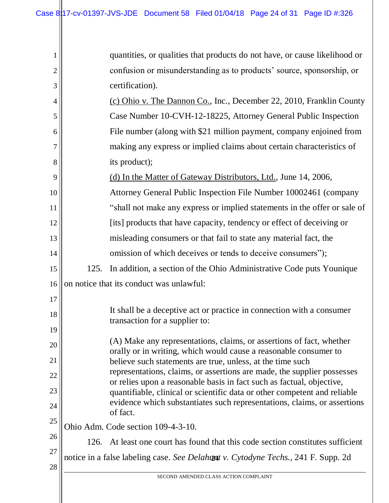| 1              |                                                                                    | quantities, or qualities that products do not have, or cause likelihood or                                                                            |  |
|----------------|------------------------------------------------------------------------------------|-------------------------------------------------------------------------------------------------------------------------------------------------------|--|
| $\overline{2}$ |                                                                                    | confusion or misunderstanding as to products' source, sponsorship, or                                                                                 |  |
| 3              |                                                                                    | certification).                                                                                                                                       |  |
| 4              |                                                                                    | (c) Ohio v. The Dannon Co., Inc., December 22, 2010, Franklin County                                                                                  |  |
| 5              |                                                                                    | Case Number 10-CVH-12-18225, Attorney General Public Inspection                                                                                       |  |
| 6              |                                                                                    | File number (along with \$21 million payment, company enjoined from                                                                                   |  |
| 7              |                                                                                    | making any express or implied claims about certain characteristics of                                                                                 |  |
| 8              |                                                                                    | its product);                                                                                                                                         |  |
| 9              |                                                                                    | (d) In the Matter of Gateway Distributors, Ltd., June 14, 2006,                                                                                       |  |
| 10             |                                                                                    | Attorney General Public Inspection File Number 10002461 (company                                                                                      |  |
| 11             |                                                                                    | "shall not make any express or implied statements in the offer or sale of                                                                             |  |
| 12             |                                                                                    | [its] products that have capacity, tendency or effect of deceiving or                                                                                 |  |
| 13             |                                                                                    | misleading consumers or that fail to state any material fact, the                                                                                     |  |
| 14             |                                                                                    | omission of which deceives or tends to deceive consumers");                                                                                           |  |
| 15             | 125.                                                                               | In addition, a section of the Ohio Administrative Code puts Younique                                                                                  |  |
| 16             |                                                                                    | on notice that its conduct was unlawful:                                                                                                              |  |
| 17             |                                                                                    |                                                                                                                                                       |  |
| 18             |                                                                                    | It shall be a deceptive act or practice in connection with a consumer<br>transaction for a supplier to:                                               |  |
| 19             |                                                                                    |                                                                                                                                                       |  |
| 20             |                                                                                    | (A) Make any representations, claims, or assertions of fact, whether<br>orally or in writing, which would cause a reasonable consumer to              |  |
| 21             |                                                                                    | believe such statements are true, unless, at the time such<br>representations, claims, or assertions are made, the supplier possesses                 |  |
| 22             |                                                                                    | or relies upon a reasonable basis in fact such as factual, objective,                                                                                 |  |
| 23             |                                                                                    | quantifiable, clinical or scientific data or other competent and reliable<br>evidence which substantiates such representations, claims, or assertions |  |
| 24             |                                                                                    | of fact.                                                                                                                                              |  |
| 25             |                                                                                    | Ohio Adm. Code section 109-4-3-10.                                                                                                                    |  |
| 26             | 126.                                                                               | At least one court has found that this code section constitutes sufficient                                                                            |  |
| 27             | notice in a false labeling case. See Delahomat v. Cytodyne Techs., 241 F. Supp. 2d |                                                                                                                                                       |  |
| 28             | SECOND AMENDED CLASS ACTION COMPLAINT                                              |                                                                                                                                                       |  |
|                |                                                                                    |                                                                                                                                                       |  |
|                |                                                                                    |                                                                                                                                                       |  |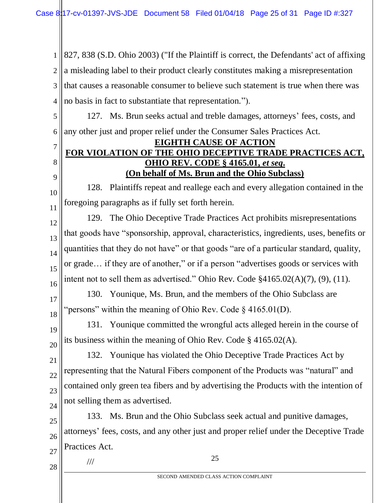1 2 3 4 827, 838 (S.D. Ohio 2003) ("If the Plaintiff is correct, the Defendants' act of affixing a misleading label to their product clearly constitutes making a misrepresentation that causes a reasonable consumer to believe such statement is true when there was no basis in fact to substantiate that representation.").

5 6 127. Ms. Brun seeks actual and treble damages, attorneys' fees, costs, and any other just and proper relief under the Consumer Sales Practices Act.

#### **EIGHTH CAUSE OF ACTION FOR VIOLATION OF THE OHIO DECEPTIVE TRADE PRACTICES ACT, OHIO REV. CODE § 4165.01,** *et seq***. (On behalf of Ms. Brun and the Ohio Subclass)**

10 11 128. Plaintiffs repeat and reallege each and every allegation contained in the foregoing paragraphs as if fully set forth herein.

12

7

8

9

13 14 15 16 129. The Ohio Deceptive Trade Practices Act prohibits misrepresentations that goods have "sponsorship, approval, characteristics, ingredients, uses, benefits or quantities that they do not have" or that goods "are of a particular standard, quality, or grade… if they are of another," or if a person "advertises goods or services with intent not to sell them as advertised." Ohio Rev. Code §4165.02(A)(7), (9), (11).

17

18

130. Younique, Ms. Brun, and the members of the Ohio Subclass are "persons" within the meaning of Ohio Rev. Code  $\S$  4165.01(D).

19 20 131. Younique committed the wrongful acts alleged herein in the course of its business within the meaning of Ohio Rev. Code § 4165.02(A).

21 22 23 24 132. Younique has violated the Ohio Deceptive Trade Practices Act by representing that the Natural Fibers component of the Products was "natural" and contained only green tea fibers and by advertising the Products with the intention of not selling them as advertised.

25 26 27 133. Ms. Brun and the Ohio Subclass seek actual and punitive damages, attorneys' fees, costs, and any other just and proper relief under the Deceptive Trade Practices Act.

25

SECOND AMENDED CLASS ACTION COMPLAINT

28

///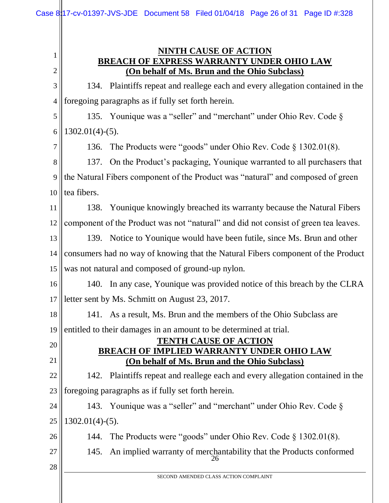#### **NINTH CAUSE OF ACTION BREACH OF EXPRESS WARRANTY UNDER OHIO LAW (On behalf of Ms. Brun and the Ohio Subclass)**

3 4 134. Plaintiffs repeat and reallege each and every allegation contained in the foregoing paragraphs as if fully set forth herein.

5 6 135. Younique was a "seller" and "merchant" under Ohio Rev. Code § 1302.01(4)-(5).

136. The Products were "goods" under Ohio Rev. Code § 1302.01(8).

8 9 10 137. On the Product's packaging, Younique warranted to all purchasers that the Natural Fibers component of the Product was "natural" and composed of green tea fibers.

11 12 138. Younique knowingly breached its warranty because the Natural Fibers component of the Product was not "natural" and did not consist of green tea leaves.

13 14 15 139. Notice to Younique would have been futile, since Ms. Brun and other consumers had no way of knowing that the Natural Fibers component of the Product was not natural and composed of ground-up nylon.

16 17 140. In any case, Younique was provided notice of this breach by the CLRA letter sent by Ms. Schmitt on August 23, 2017.

18 19 141. As a result, Ms. Brun and the members of the Ohio Subclass are entitled to their damages in an amount to be determined at trial.

#### **TENTH CAUSE OF ACTION BREACH OF IMPLIED WARRANTY UNDER OHIO LAW (On behalf of Ms. Brun and the Ohio Subclass)**

22 23 142. Plaintiffs repeat and reallege each and every allegation contained in the foregoing paragraphs as if fully set forth herein.

24 25 143. Younique was a "seller" and "merchant" under Ohio Rev. Code §  $1302.01(4)-(5)$ .

26 144. The Products were "goods" under Ohio Rev. Code § 1302.01(8).

26 145. An implied warranty of merchantability that the Products conformed

28

27

20

21

1

2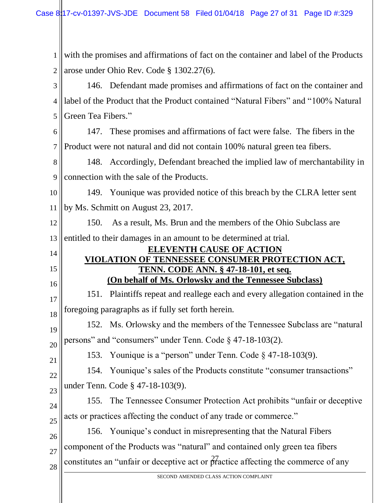1 2 3 4 5 6 with the promises and affirmations of fact on the container and label of the Products arose under Ohio Rev. Code § 1302.27(6). 146. Defendant made promises and affirmations of fact on the container and label of the Product that the Product contained "Natural Fibers" and "100% Natural Green Tea Fibers." 147. These promises and affirmations of fact were false. The fibers in the

7 Product were not natural and did not contain 100% natural green tea fibers.

8 9 148. Accordingly, Defendant breached the implied law of merchantability in connection with the sale of the Products.

10 11 149. Younique was provided notice of this breach by the CLRA letter sent by Ms. Schmitt on August 23, 2017.

12 13 150. As a result, Ms. Brun and the members of the Ohio Subclass are entitled to their damages in an amount to be determined at trial.

#### **ELEVENTH CAUSE OF ACTION VIOLATION OF TENNESSEE CONSUMER PROTECTION ACT, TENN. CODE ANN. § 47-18-101, et seq. (On behalf of Ms. Orlowsky and the Tennessee Subclass)**

17 18 151. Plaintiffs repeat and reallege each and every allegation contained in the foregoing paragraphs as if fully set forth herein.

19 20 152. Ms. Orlowsky and the members of the Tennessee Subclass are "natural persons" and "consumers" under Tenn. Code § 47-18-103(2).

21 22

23

14

15

16

153. Younique is a "person" under Tenn. Code § 47-18-103(9).

154. Younique's sales of the Products constitute "consumer transactions" under Tenn. Code § 47-18-103(9).

24 25 155. The Tennessee Consumer Protection Act prohibits "unfair or deceptive acts or practices affecting the conduct of any trade or commerce."

constitutes an "unfair or deceptive act or  $\frac{27}{9}$  details affecting the commerce of any 26 27 28 156. Younique's conduct in misrepresenting that the Natural Fibers component of the Products was "natural" and contained only green tea fibers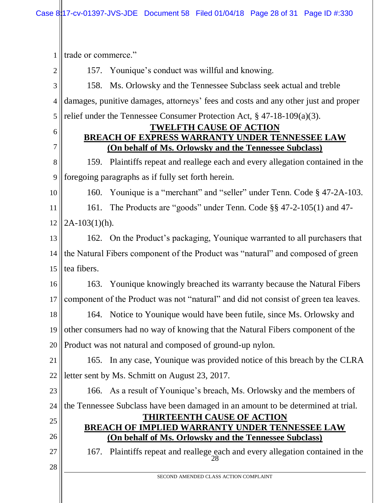1 trade or commerce."

2

157. Younique's conduct was willful and knowing.

3 4 5 158. Ms. Orlowsky and the Tennessee Subclass seek actual and treble damages, punitive damages, attorneys' fees and costs and any other just and proper relief under the Tennessee Consumer Protection Act, § 47-18-109(a)(3).

6

7

#### **TWELFTH CAUSE OF ACTION BREACH OF EXPRESS WARRANTY UNDER TENNESSEE LAW (On behalf of Ms. Orlowsky and the Tennessee Subclass)**

8 9 159. Plaintiffs repeat and reallege each and every allegation contained in the foregoing paragraphs as if fully set forth herein.

10

26

27

28

160. Younique is a "merchant" and "seller" under Tenn. Code § 47-2A-103.

11 12 161. The Products are "goods" under Tenn. Code §§ 47-2-105(1) and 47-  $2A-103(1)(h)$ .

13 14 15 162. On the Product's packaging, Younique warranted to all purchasers that the Natural Fibers component of the Product was "natural" and composed of green tea fibers.

16 17 163. Younique knowingly breached its warranty because the Natural Fibers component of the Product was not "natural" and did not consist of green tea leaves.

18 19 20 164. Notice to Younique would have been futile, since Ms. Orlowsky and other consumers had no way of knowing that the Natural Fibers component of the Product was not natural and composed of ground-up nylon.

21 22 165. In any case, Younique was provided notice of this breach by the CLRA letter sent by Ms. Schmitt on August 23, 2017.

23 24 25 166. As a result of Younique's breach, Ms. Orlowsky and the members of the Tennessee Subclass have been damaged in an amount to be determined at trial. **THIRTEENTH CAUSE OF ACTION**

# **BREACH OF IMPLIED WARRANTY UNDER TENNESSEE LAW (On behalf of Ms. Orlowsky and the Tennessee Subclass)**

28 167. Plaintiffs repeat and reallege each and every allegation contained in the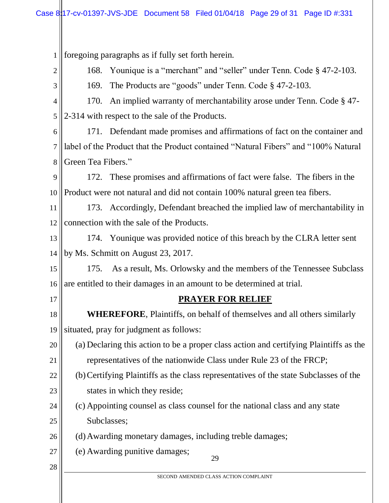1 foregoing paragraphs as if fully set forth herein.

2

168. Younique is a "merchant" and "seller" under Tenn. Code § 47-2-103.

3

169. The Products are "goods" under Tenn. Code § 47-2-103.

4 5 170. An implied warranty of merchantability arose under Tenn. Code § 47- 2-314 with respect to the sale of the Products.

6 7 8 171. Defendant made promises and affirmations of fact on the container and label of the Product that the Product contained "Natural Fibers" and "100% Natural Green Tea Fibers."

9 10 172. These promises and affirmations of fact were false. The fibers in the Product were not natural and did not contain 100% natural green tea fibers.

11 12 173. Accordingly, Defendant breached the implied law of merchantability in connection with the sale of the Products.

13 14 174. Younique was provided notice of this breach by the CLRA letter sent by Ms. Schmitt on August 23, 2017.

15 16 175. As a result, Ms. Orlowsky and the members of the Tennessee Subclass are entitled to their damages in an amount to be determined at trial.

17

28

# **PRAYER FOR RELIEF**

18 19 **WHEREFORE**, Plaintiffs, on behalf of themselves and all others similarly situated, pray for judgment as follows:

- 20 21 (a) Declaring this action to be a proper class action and certifying Plaintiffs as the representatives of the nationwide Class under Rule 23 of the FRCP;
- 22 23 (b)Certifying Plaintiffs as the class representatives of the state Subclasses of the states in which they reside;
- 24 25 (c) Appointing counsel as class counsel for the national class and any state Subclasses;

26 (d)Awarding monetary damages, including treble damages;

- 27 (e) Awarding punitive damages;
- 29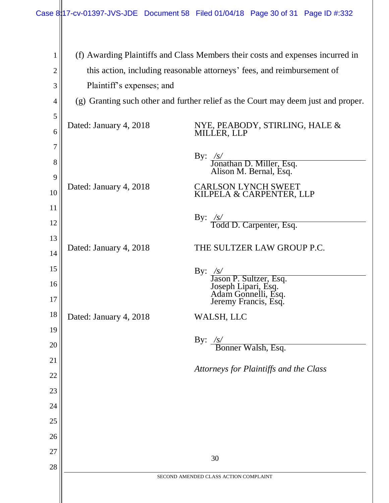| 1              | (f) Awarding Plaintiffs and Class Members their costs and expenses incurred in |                                                                                                         |  |
|----------------|--------------------------------------------------------------------------------|---------------------------------------------------------------------------------------------------------|--|
| $\overline{c}$ | this action, including reasonable attorneys' fees, and reimbursement of        |                                                                                                         |  |
| 3              | Plaintiff's expenses; and                                                      |                                                                                                         |  |
| $\overline{4}$ |                                                                                | (g) Granting such other and further relief as the Court may deem just and proper.                       |  |
| 5              |                                                                                |                                                                                                         |  |
| 6              | Dated: January 4, 2018                                                         | NYE, PEABODY, STIRLING, HALE &<br>MILLER, LLP                                                           |  |
| 7              |                                                                                |                                                                                                         |  |
| 8              |                                                                                | By: /s/<br>Jonathan D. Miller, Esq.<br>Alison M. Bernal, Esq.                                           |  |
| 9              |                                                                                |                                                                                                         |  |
| 10             | Dated: January 4, 2018                                                         | <b>CARLSON LYNCH SWEET</b><br>KILPELA & CARPENTER, LLP                                                  |  |
| 11             |                                                                                |                                                                                                         |  |
| 12             |                                                                                | By: $\frac{\sqrt{s}}{\text{ Todd D. Carpenter, Esq.}}$                                                  |  |
| 13             |                                                                                |                                                                                                         |  |
| 14             | Dated: January 4, 2018                                                         | THE SULTZER LAW GROUP P.C.                                                                              |  |
| 15             |                                                                                |                                                                                                         |  |
| 16             |                                                                                |                                                                                                         |  |
| 17             |                                                                                | By: /s/<br>Jason P. Sultzer, Esq.<br>Joseph Lipari, Esq.<br>Adam Gonnelli, Esq.<br>Jeremy Francis, Esq. |  |
| 18             | Dated: January 4, 2018                                                         | WALSH, LLC                                                                                              |  |
| 19             |                                                                                |                                                                                                         |  |
| 20             |                                                                                | By: $/s/$<br>Bonner Walsh, Esq.                                                                         |  |
| 21             |                                                                                |                                                                                                         |  |
| 22             |                                                                                | Attorneys for Plaintiffs and the Class                                                                  |  |
| 23             |                                                                                |                                                                                                         |  |
| 24             |                                                                                |                                                                                                         |  |
| 25             |                                                                                |                                                                                                         |  |
| 26             |                                                                                |                                                                                                         |  |
| 27             |                                                                                |                                                                                                         |  |
| 28             |                                                                                | 30                                                                                                      |  |
|                |                                                                                | SECOND AMENDED CLASS ACTION COMPLAINT                                                                   |  |
|                |                                                                                |                                                                                                         |  |